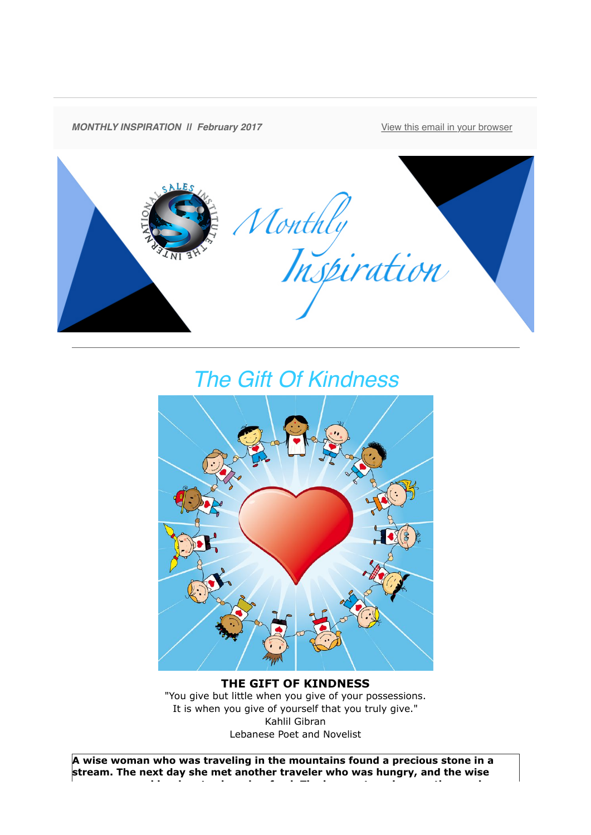

## *The Gift Of Kindness*



## **THE GIFT OF KINDNESS** "You give but little when you give of your possessions. It is when you give of yourself that you truly give." Kahlil Gibran Lebanese Poet and Novelist

**A wise woman who was traveling in the mountains found a precious stone in a stream. The next day she met another traveler who was hungry, and the wise woman opened her bag to share her food. The hungry traveler saw the precious**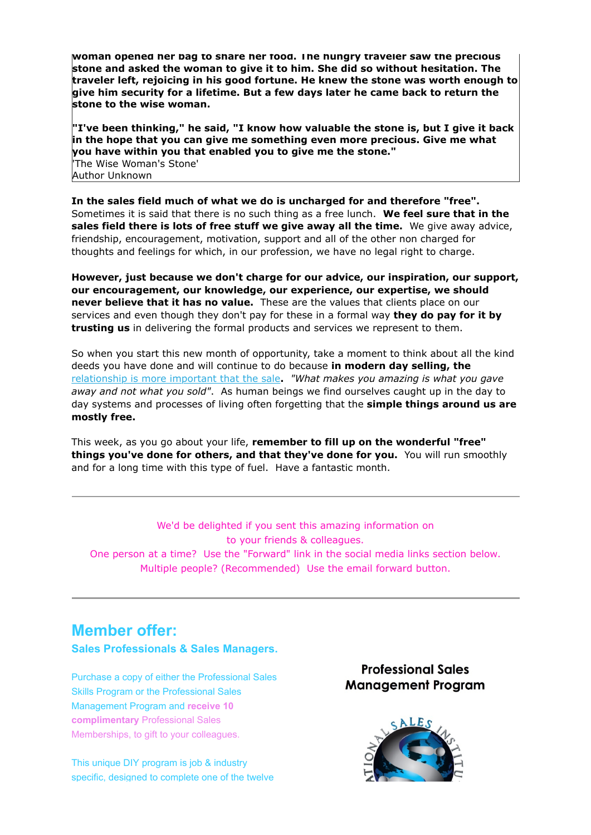**woman opened her bag to share her food. The hungry traveler saw the precious stone and asked the woman to give it to him. She did so without hesitation. The traveler left, rejoicing in his good fortune. He knew the stone was worth enough to give him security for a lifetime. But a few days later he came back to return the stone to the wise woman.** 

**"I've been thinking," he said, "I know how valuable the stone is, but I give it back in the hope that you can give me something even more precious. Give me what you have within you that enabled you to give me the stone."** 'The Wise Woman's Stone' Author Unknown

**In the sales field much of what we do is uncharged for and therefore "free".** Sometimes it is said that there is no such thing as a free lunch. **We feel sure that in the sales field there is lots of free stuff we give away all the time.** We give away advice, friendship, encouragement, motivation, support and all of the other non charged for thoughts and feelings for which, in our profession, we have no legal right to charge.

**However, just because we don't charge for our advice, our inspiration, our support, our encouragement, our knowledge, our experience, our expertise, we should never believe that it has no value.** These are the values that clients place on our services and even though they don't pay for these in a formal way **they do pay for it by trusting us** in delivering the formal products and services we represent to them.

So when you start this new month of opportunity, take a moment to think about all the kind deeds you have done and will continue to do because **in modern day selling, the** [relationship is more important that the sale](http://theinternationalsalesinstitute.us11.list-manage.com/track/click?u=933b80e7a2e18bb216f31e81e&id=3714234799&e=9f87e78b41)**.** *"What makes you amazing is what you gave away and not what you sold"*. As human beings we find ourselves caught up in the day to day systems and processes of living often forgetting that the **simple things around us are mostly free.** 

This week, as you go about your life, **remember to fill up on the wonderful "free" things you've done for others, and that they've done for you.** You will run smoothly and for a long time with this type of fuel. Have a fantastic month.

We'd be delighted if you sent this amazing information on to your friends & colleagues. One person at a time? Use the "Forward" link in the social media links section below. Multiple people? (Recommended) Use the email forward button.

## **Member offer:**

**Sales Professionals & Sales Managers.**

Purchase a copy of either the Professional Sales Skills Program or the Professional Sales Management Program and **receive 10 complimentary** Professional Sales Memberships, to gift to your colleagues.

This unique DIY program is job & industry specific, designed to complete one of the twelve

**Professional Sales Management Program**